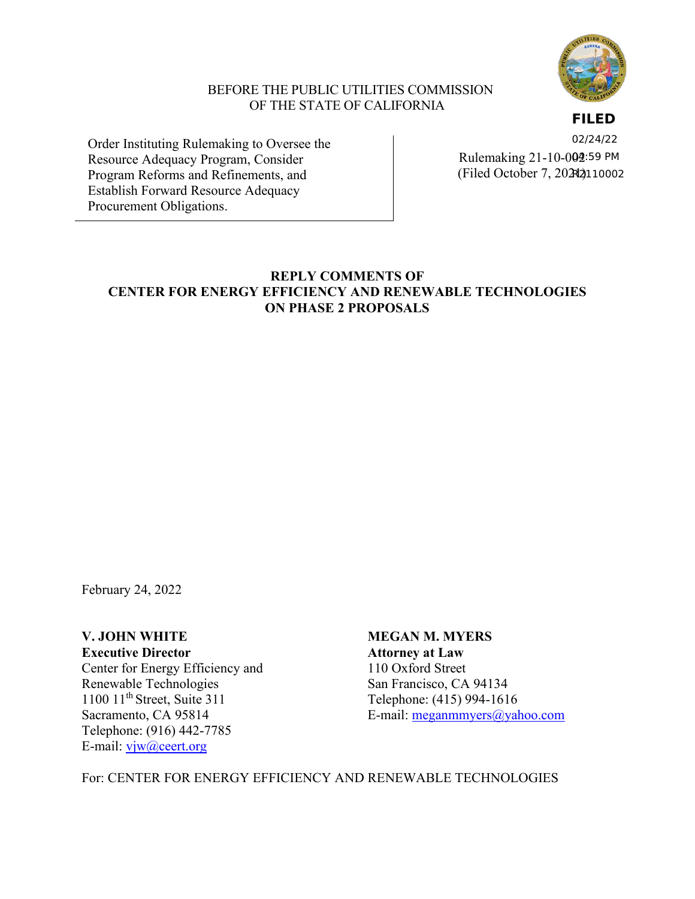

### BEFORE THE PUBLIC UTILITIES COMMISSION OF THE STATE OF CALIFORNIA

**FILED**

Order Instituting Rulemaking to Oversee the Resource Adequacy Program, Consider Program Reforms and Refinements, and Establish Forward Resource Adequacy Procurement Obligations.

Rulemaking 21-10-0**02**:59 PM (Filed October 7, 20242)110002 02/24/22

# **REPLY COMMENTS OF CENTER FOR ENERGY EFFICIENCY AND RENEWABLE TECHNOLOGIES ON PHASE 2 PROPOSALS**

February 24, 2022

**Executive Director Attorney at Law** Center for Energy Efficiency and 110 Oxford Street<br>
Renewable Technologies<br>
San Francisco, CA 94134 Renewable Technologies 1100 11<sup>th</sup> Street, Suite 311 Telephone: (415) 994-1616 Telephone: (916) 442-7785 E-mail: [vjw@ceert.org](mailto:vjw@ceert.org)

**V. JOHN WHITE MEGAN M. MYERS** Sacramento, CA 95814 E-mail: [meganmmyers@yahoo.com](mailto:meganmmyers@yahoo.com)

For: CENTER FOR ENERGY EFFICIENCY AND RENEWABLE TECHNOLOGIES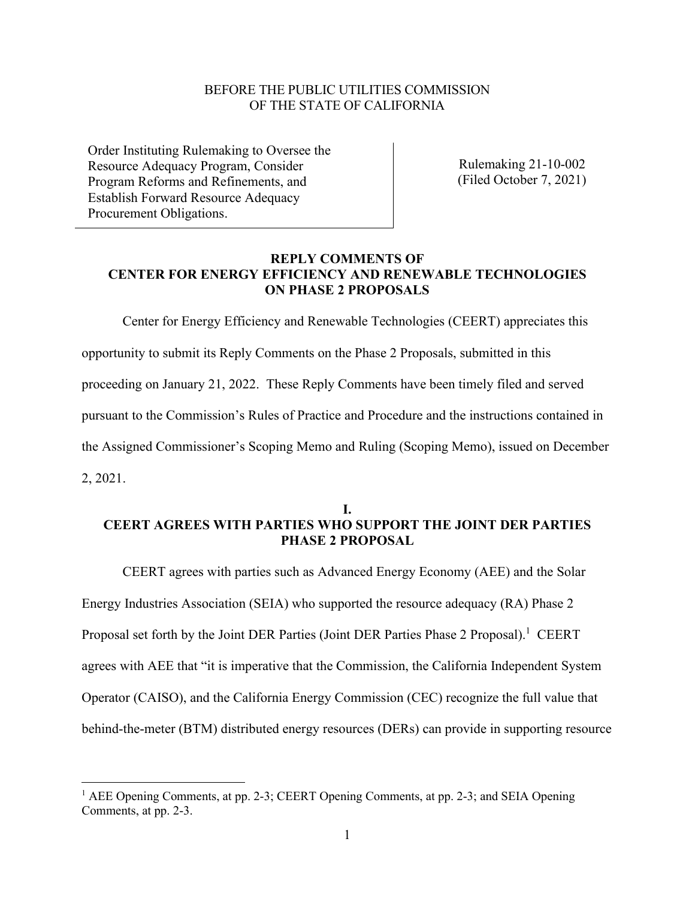#### BEFORE THE PUBLIC UTILITIES COMMISSION OF THE STATE OF CALIFORNIA

Order Instituting Rulemaking to Oversee the Resource Adequacy Program, Consider Program Reforms and Refinements, and Establish Forward Resource Adequacy Procurement Obligations.

Rulemaking 21-10-002 (Filed October 7, 2021)

## **REPLY COMMENTS OF CENTER FOR ENERGY EFFICIENCY AND RENEWABLE TECHNOLOGIES ON PHASE 2 PROPOSALS**

Center for Energy Efficiency and Renewable Technologies (CEERT) appreciates this opportunity to submit its Reply Comments on the Phase 2 Proposals, submitted in this proceeding on January 21, 2022. These Reply Comments have been timely filed and served pursuant to the Commission's Rules of Practice and Procedure and the instructions contained in the Assigned Commissioner's Scoping Memo and Ruling (Scoping Memo), issued on December 2, 2021.

#### **I. CEERT AGREES WITH PARTIES WHO SUPPORT THE JOINT DER PARTIES PHASE 2 PROPOSAL**

CEERT agrees with parties such as Advanced Energy Economy (AEE) and the Solar Energy Industries Association (SEIA) who supported the resource adequacy (RA) Phase 2 Proposal set forth by the Joint DER Parties (Joint DER Parties Phase 2 Proposal).<sup>1</sup> CEERT agrees with AEE that "it is imperative that the Commission, the California Independent System Operator (CAISO), and the California Energy Commission (CEC) recognize the full value that behind-the-meter (BTM) distributed energy resources (DERs) can provide in supporting resource

<sup>&</sup>lt;sup>1</sup> AEE Opening Comments, at pp. 2-3; CEERT Opening Comments, at pp. 2-3; and SEIA Opening Comments, at pp. 2-3.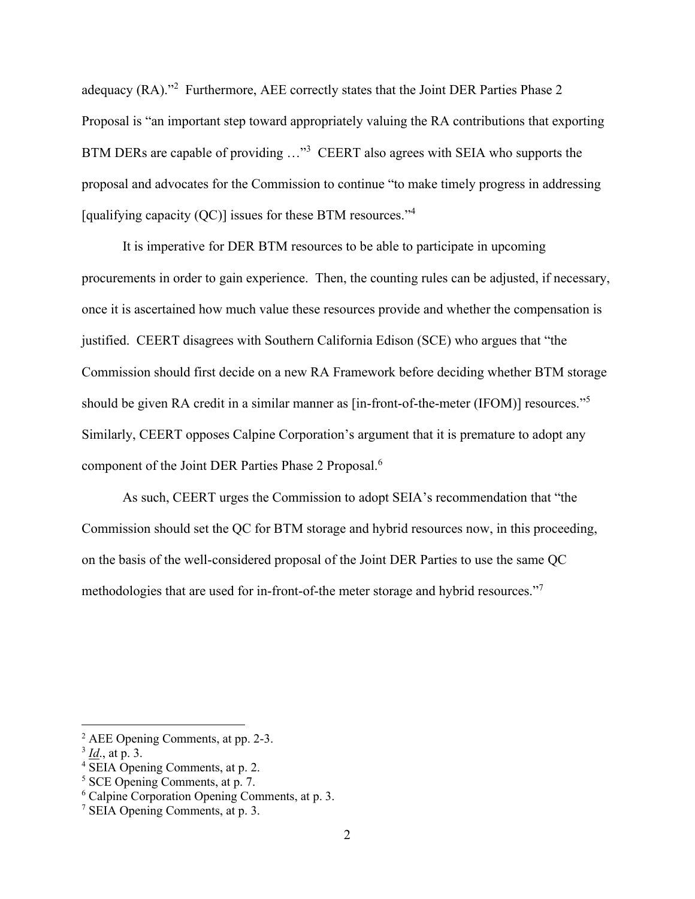adequacy (RA)."<sup>2</sup> Furthermore, AEE correctly states that the Joint DER Parties Phase 2 Proposal is "an important step toward appropriately valuing the RA contributions that exporting BTM DERs are capable of providing ..."<sup>3</sup> CEERT also agrees with SEIA who supports the proposal and advocates for the Commission to continue "to make timely progress in addressing [qualifying capacity (QC)] issues for these BTM resources."<sup>4</sup>

It is imperative for DER BTM resources to be able to participate in upcoming procurements in order to gain experience. Then, the counting rules can be adjusted, if necessary, once it is ascertained how much value these resources provide and whether the compensation is justified. CEERT disagrees with Southern California Edison (SCE) who argues that "the Commission should first decide on a new RA Framework before deciding whether BTM storage should be given RA credit in a similar manner as [in-front-of-the-meter (IFOM)] resources."<sup>5</sup> Similarly, CEERT opposes Calpine Corporation's argument that it is premature to adopt any component of the Joint DER Parties Phase 2 Proposal.<sup>6</sup>

As such, CEERT urges the Commission to adopt SEIA's recommendation that "the Commission should set the QC for BTM storage and hybrid resources now, in this proceeding, on the basis of the well-considered proposal of the Joint DER Parties to use the same QC methodologies that are used for in-front-of-the meter storage and hybrid resources."<sup>7</sup>

<sup>2</sup> AEE Opening Comments, at pp. 2-3.

<sup>3</sup> *Id*., at p. 3.

<sup>4</sup> SEIA Opening Comments, at p. 2.

<sup>5</sup> SCE Opening Comments, at p. 7.

<sup>6</sup> Calpine Corporation Opening Comments, at p. 3.

<sup>7</sup> SEIA Opening Comments, at p. 3.